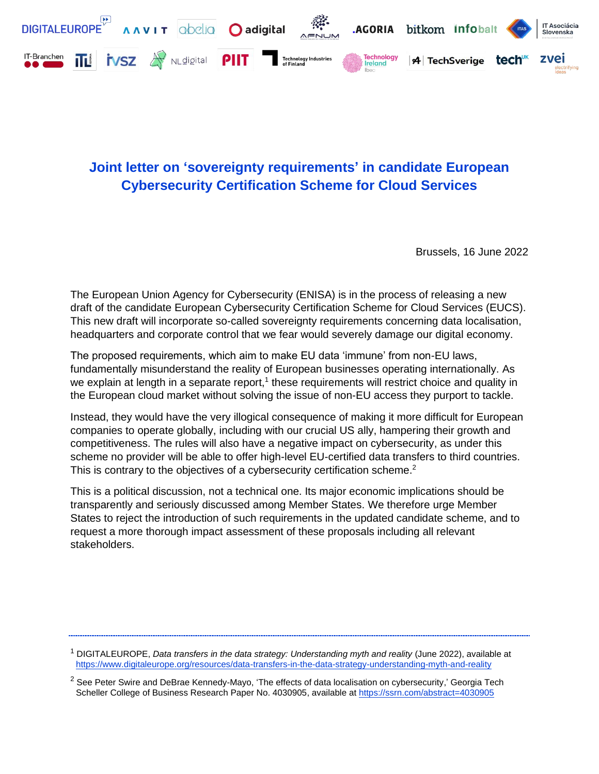

## **Joint letter on 'sovereignty requirements' in candidate European Cybersecurity Certification Scheme for Cloud Services**

Brussels, 16 June 2022

The European Union Agency for Cybersecurity (ENISA) is in the process of releasing a new draft of the candidate European Cybersecurity Certification Scheme for Cloud Services (EUCS). This new draft will incorporate so-called sovereignty requirements concerning data localisation, headquarters and corporate control that we fear would severely damage our digital economy.

The proposed requirements, which aim to make EU data 'immune' from non-EU laws, fundamentally misunderstand the reality of European businesses operating internationally. As we explain at length in a separate report,<sup>1</sup> these requirements will restrict choice and quality in the European cloud market without solving the issue of non-EU access they purport to tackle.

Instead, they would have the very illogical consequence of making it more difficult for European companies to operate globally, including with our crucial US ally, hampering their growth and competitiveness. The rules will also have a negative impact on cybersecurity, as under this scheme no provider will be able to offer high-level EU-certified data transfers to third countries. This is contrary to the objectives of a cybersecurity certification scheme.<sup>2</sup>

This is a political discussion, not a technical one. Its major economic implications should be transparently and seriously discussed among Member States. We therefore urge Member States to reject the introduction of such requirements in the updated candidate scheme, and to request a more thorough impact assessment of these proposals including all relevant stakeholders.

<sup>1</sup> DIGITALEUROPE, *Data transfers in the data strategy: Understanding myth and reality* (June 2022), available at <https://www.digitaleurope.org/resources/data-transfers-in-the-data-strategy-understanding-myth-and-reality>

 $2$  See Peter Swire and DeBrae Kennedy-Mayo, 'The effects of data localisation on cybersecurity,' Georgia Tech Scheller College of Business Research Paper No. 4030905, available at<https://ssrn.com/abstract=4030905>